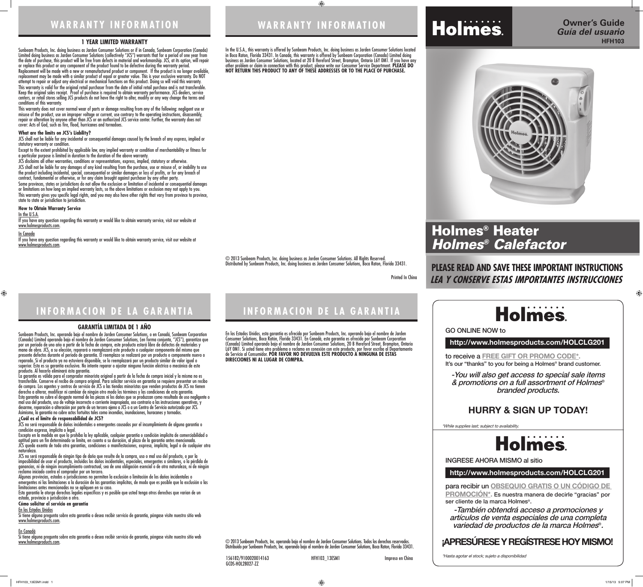$\bigoplus$ 

Printed In China

© 2013 Sunbeam Products, Inc. doing business as Jarden Consumer Solutions. All Rights Reserved. Distributed by Sunbeam Products, Inc. doing business as Jarden Consumer Solutions, Boca Raton, Florida 33431.

## **INFORMACION DE LA GARANTIA**

#### **1 YEAR LIMITED WARRANTY**

Sunbeam Products, Inc. doing business as Jarden Consumer Solutions or if in Canada, Sunbeam Corporation (Canada) Limited doing business as Jarden Consumer Solutions (collectively "JCS") warrants that for a period of one year from the date of purchase, this product will be free from defects in material and workmanship. JCS, at its option, will repair or replace this product or any component of the product found to be defective during the warranty period. Replacement will be made with a new or remanufactured product or component. If the product is no longer available, replacement may be made with a similar product of equal or greater value. This is your exclusive warranty. Do NOT attempt to repair or adjust any electrical or mechanical functions on this product. Doing so will void this warranty. This warranty is valid for the original retail purchaser from the date of initial retail purchase and is not transferable. Keep the original sales receipt. Proof of purchase is required to obtain warranty performance. JCS dealers, service centers, or retail stores selling JCS products do not have the right to alter, modify or any way change the terms and

conditions of this warranty. This warranty does not cover normal wear of parts or damage resulting from any of the following: negligent use or misuse of the product, use on improper voltage or current, use contrary to the operating instructions, disassembly, repair or alteration by anyone other than JCS or an authorized JCS service center. Further, the warranty does not cover: Acts of God, such as fire, flood, hurricanes and tornadoes.

#### **What are the limits on JCS's Liability?**

JCS shall not be liable for any incidental or consequential damages caused by the breach of any express, implied or statutory warranty or condition.

Except to the extent prohibited by applicable law, any implied warranty or condition of merchantability or fitness for a particular purpose is limited in duration to the duration of the above warranty.

JCS disclaims all other warranties, conditions or representations, express, implied, statutory or otherwise.

JCS shall not be liable for any damages of any kind resulting from the purchase, use or misuse of, or inability to use the product including incidental, special, consequential or similar damages or loss of profits, or for any breach of contract, fundamental or otherwise, or for any claim brought against purchaser by any other party.

Some provinces, states or jurisdictions do not allow the exclusion or limitation of incidental or consequential damages or limitations on how long an implied warranty lasts, so the above limitations or exclusion may not apply to you. This warranty gives you specific legal rights, and you may also have other rights that vary from province to province, state to state or jurisdiction to jurisdiction.

#### **How to Obtain Warranty Service**

In the U.S.A.

If you have any question regarding this warranty or would like to obtain warranty service, visit our website at www.holmesproducts.com.

#### In Canada

 $\bigoplus$ 

Si tiene alguna pregunta sobre esta garantía o desea recibir servicio de garantía, póngase visite nuestro sitio web www.holmesproducts.com.

If you have any question regarding this warranty or would like to obtain warranty service, visit our website at www.holmesproducts.com.

Si tiene alguna pregunta sobre esta garantía o desea recibir servicio de garantía, póngase visite nuestro sitio web www.holmesproducts.com.

#### **GARANTÍA LIMITADA DE 1 AÑO**

Sunbeam Products, Inc. operando bajo el nombre de Jarden Consumer Solutions, o en Canadá, Sunbeam Corporation (Canada) Limited operando bajo el nombre de Jarden Consumer Solutions, (en forma conjunta, "JCS"), garantiza que por un período de uno año a partir de la fecha de compra, este producto estará libre de defectos de materiales y mano de obra. JCS, a su elección, reparará o reemplazará este producto o cualquier componente del mismo que presente defectos durante el período de garantía. El reemplazo se realizará por un producto o componente nuevo o reparado. Si el producto ya no estuviera disponible, se lo reemplazará por un producto similar de valor igual o superior. Ésta es su garantía exclusiva. No intente reparar o ajustar ninguna función eléctrica o mecánica de este producto. Al hacerlo elimínará ésta garantía.

to receive a **FREE GIFT OR PROMO CODE\*.** It's our "thanks" to you for being a Holmes<sup>®</sup> brand customer.

La garantía es válida para el comprador minorista original a partir de la fecha de compra inicial y la misma no es transferible. Conserve el recibo de compra original. Para solicitar servicio en garantía se requiere presentar un recibo de compra. Los agentes y centros de servicio de JCS o las tiendas minoristas que venden productos de JCS no tienen derecho a alterar, modificar ni cambiar de ningún otro modo los términos y las condiciones de esta garantía. Esta garantía no cubre el desgaste normal de las piezas ni los daños que se produzcan como resultado de uso negligente o mal uso del producto, uso de voltaje incorrecto o corriente inapropiada, uso contrario a las instrucciones operativas, y desarme, reparación o alteración por parte de un tercero ajeno a JCS o a un Centro de Servicio autorizado por JCS. Asimismo, la garantía no cubre actos fortuitos tales como incendios, inundaciones, huracanes y tornados.

### **¿Cuál es el límite de responsabilidad de JCS?**

JCS no será responsable de daños incidentales o emergentes causados por el incumplimiento de alguna garantía o condición expresa, implícita o legal.

Excepto en la medida en que lo prohíba la ley aplicable, cualquier garantía o condición implícita de comerciabilidad o aptitud para un fin determinado se limita, en cuanto a su duración, al plazo de la garantía antes mencionada. JCS queda exenta de toda otra garantías, condiciones o manifestaciones, expresa, implícita, legal o de cualquier otra naturaleza.

JCS no será responsable de ningún tipo de daño que resulte de la compra, uso o mal uso del producto, o por la imposibilidad de usar el producto, incluidos los daños incidentales, especiales, emergentes o similares, o la pérdida de ganancias, ni de ningún incumplimiento contractual, sea de una obligación esencial o de otra naturaleza, ni de ningún reclamo iniciado contra el comprador por un tercero.

Algunas provincias, estados o jurisdicciones no permiten la exclusión o limitación de los daños incidentales o emergentes ni las limitaciones a la duración de las garantías implícitas, de modo que es posible que la exclusión o las limitaciones antes mencionadas no se apliquen en su caso.

Esta garantía le otorga derechos legales específicos y es posible que usted tenga otros derechos que varían de un estado, provincia o jurisdicción a otro.

#### **Cómo solicitar el servicio en garantía**

En los Estados Unidos

#### En Canadá

### **WARRANTY INFORMATION**

# **INFORMACION DE LA GARANTIA**

In the U.S.A., this warranty is offered by Sunbeam Products, Inc. doing business as Jarden Consumer Solutions located in Boca Raton, Florida 33431. In Canada, this warranty is offered by Sunbeam Corporation (Canada) Limited doing business as Jarden Consumer Solutions, located at 20 B Hereford Street, Brampton, Ontario L6Y 0M1. If you have any other problem or claim in connection with this product, please write our Consumer Service Department. **PLEASE DO NOT RETURN THIS PRODUCT TO ANY OF THESE ADDRESSES OR TO THE PLACE OF PURCHASE.** 



En los Estados Unidos, esta garantía es ofrecida por Sunbeam Products, Inc. operando bajo el nombre de Jarden Consumer Solutions, Boca Ratón, Florida 33431. En Canadá, esta garantía es ofrecida por Sunbeam Corporation (Canada) Limited operando bajo el nombre de Jarden Consumer Solutions, 20 B Hereford Street, Brampton, Ontario L6Y 0M1. Si usted tiene otro problema o reclamo en conexión con este producto, por favor escriba al Departamento de Servicio al Consumidor. **POR FAVOR NO DEVUELVA ESTE PRODUCTO A NINGUNA DE ESTAS DIRECCIONES NI AL LUGAR DE COMPRA.**

© 2013 Sunbeam Products, Inc. operando bajo el nombre de Jarden Consumer Solutions. Todos los derechos reservados. Distribuido por Sunbeam Products, Inc. operando bajo el nombre de Jarden Consumer Solutions, Boca Raton, Florida 33431.

156182/9100020014163 HFH103\_13ESM1 Impreso en China

GCDS-HOL28027-ZZ

### **http://www.holmesproducts.com/HOLCLG201**

**http://www.holmesproducts.com/HOLCLG201**

para recibir un **OBSEQUIO GRATIS O UN CÓDIGO DE PROMOCIÓN\*.** Es nuestra manera de decirle "gracias" por ser cliente de la marca Holmes®.

GO ONLINE NOW to

INGRESE AHORA MISMO al sitio

-You will also get access to special sale items & promotions on a full assortment of Holmes® branded products.

# **Holmes**

-También obtendrá acceso a promociones y artículos de venta especiales de una completa variedad de productos de la marca Holmes®.

\*While supplies last; subject to availability.

\*Hasta agotar el stock; sujeto a disponibilidad

 $\bigoplus$ 

### **HURRY & SIGN UP TODAY!**

## **¡APRESÚRESE Y REGÍSTRESE HOY MISMO!**

### **PLEASE READ AND SAVE THESE IMPORTANT INSTRUCTIONS LEA Y CONSERVE ESTAS IMPORTANTES INSTRUCCIONES**



### **Owner's Guide HFH103** *Guía del usuario*





HFH103\_13ESM1.indd 1 1/15/13 5:07 PM